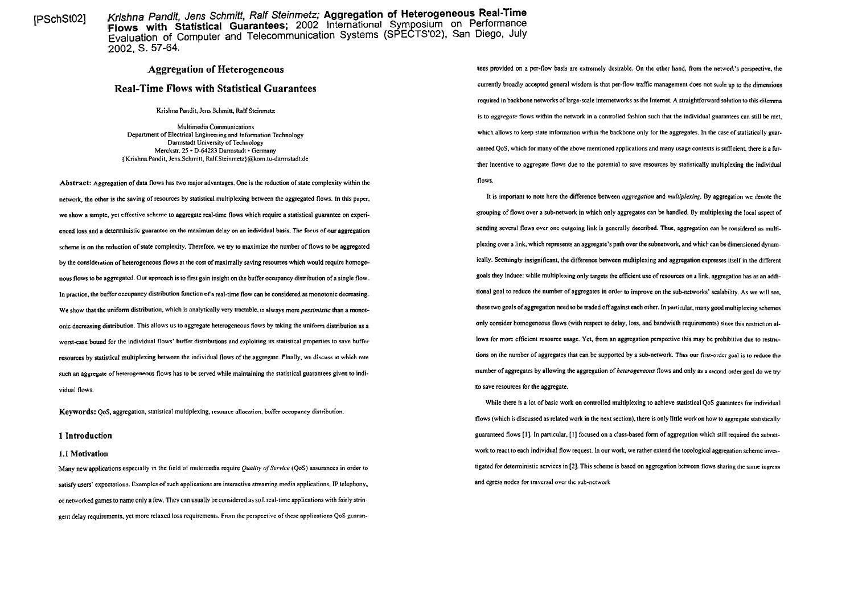[PSchStO2] Krishna Pandit, Jens Schmiff, Ralf Steinmetz; **Aggregation of Heterogeneous Real-Time Flows with Statistical Guarantees;** 2002 International Symposium on Performation International Evaluation of Computer and Telecommunication Systems (SPECTS'02). San Diego, July 2002, S. 57-64.

# **Real-Time Flows with Statistical Guarantees**

Krishna Pandit, Jens Schmitt, Ralf Steinmetz

Multimedia Communications Department of Electrical Engineering and Information Technology Darmstadt University of Technology Merckstr. 25 · D-64283 Darmstadt · Germany (Krishna.Pandit, Jens.Schmitt, **Ralf.Steinmetz}@kom.ni-danns(adt.de** 

**Abstract:** Aggregation of data flows has two majoradvantages. One is the reduction of state complexity within the network, the other is the saving of resources by statistical multiplexing between the aggregated flows. In this Paper, we show a simple, yet effective scheme to aggregate real-time flows which require a statistical guarantee on experienced loss and a deterministic guarantee on the maximum delay on an individual basis. The focus of our aggregation sending several flows over one outgoing link is generally described. Thus, aggregation can be considered as scheme is on the reduction of state complexity. Therefore, we try to maximize the number of flows to be aggregated by the consideration of heterogeneous flows at the cost of maximally saving resources which would require homogenous flows **10** be aggregated. Our approach is to fint gain insight on the buffer occupancy distribution of a single flow. In practice, the buffer occupancy distribution function of a real-time flow can be considered as monotonic decreasing. We show that the uniform distribution, which is analytically very tractable, is always more *pessimistic* than a monotonic decreasing distribution. This allows us to aggregate hererogeneous flows by taking the uniform distribution as a worst-case bound for the individual flows' buffer distributions and exploiting its statistical properties to save buffer resources by statistical multiplexing between the individual flows of the aggregate. Finally, we discuss at which rate the state of a state of aggregates that can be supported by a sub-network. Thus our first-order goal is such an aggregate of heterogeneous flows has to be served while maintaining the statistical guarantees given to individual flows.

**Keywords:** QoS. aggregation, statistical multiplexing, resource allocation, buffer occupancy distribution.

#### **1.1 Motivation**

Many new applications especially in the field of multimedia require *Quality of Service* (QoS) assurances in order to satisfy users' expectations. Examples of such applications are interactive streaming media applications, IP telephony, and the sman media applications of the sub-network or networked games to name only a few. They can usually be considered as sofi real-time applications with fairly stringent delay requirements, yet more relaxed loss requirements. From the penpective of these applications QoS guaran-

**Aggregation of Heterogeneous the structure of the network's perspective, the the network's perspective, the** currently broadly accepted general wisdom is that per-flow traffic management does not scale up to the dimensions required in backbone networks of large-scale intemetworks as the Intemet. **A** straightfonvard solution to this dilemma is to *aggregate* flows within the network in a controlled fashion such that the individual guarantees can still be met, which allows to keep state information within the backbone only for the aggregates. In the case of statistically guaranteed QoS, which for many of the above mentioned applications and many usage contexts is sufficient, there is a further incentive to aggregate flows due to the potential to save resources by statistically multiplexing the individual flows.

> It is important to note here the difference between *aggregation* and *multiplexing*. By aggregation we denote the grouping of flows over a sub-network in which only aggregates can be handled. By multiplexing the local aspect of plexing over a link, which represents an aggregate's path over the subnetwork, and which can be dimensioned dynamically. Seemingly insignificant, the difference between multiplexing and aggregation expresses iiself in the different goals they induce: while multiplexing only targets the efficient use of resources on a link, aggregation has as an additional goal to rcduce the number of aggregates in oder to improve on the sub-networks' scalability. As we will see. these two goals of aggregation need to be traded off against each other. In particular, many good multiplexing schemes only wnsider homogeneous flows (with respeci io delay, loss, and bandwidth requirements) since this restriction allows for more efficient resource usage. Yet, from an aggregation perspective this may be prohibitive due to restricnumber of aggregates by allowing the aggregation of *heterogeneous* flows and only as a second-order goal do we try to save resources for the aggregate.

While there is a lot of basic work on controlled multiplexing to achieve statistical QoS guarantees for individual flows (which is discussed as related work in the next section). there is only linle work on how to aggregate statistically **1 Introduction 1 Introduction guaranteed flows** [1]. In particular, [1] focused on a class-based form of aggregation which still required the subnetwork to react to each individual flow request. In our work, we rather extend the topological aggregation scheme investigated for deterministic services in [2]. This scheme is based on aggregation between flows sharing the same ingress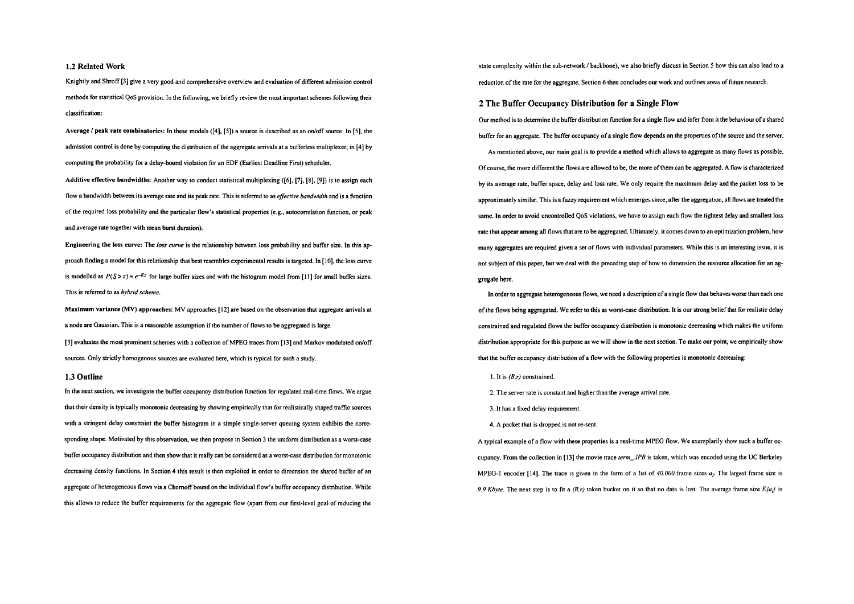#### **1.2 Related Work**

Knightly and Shroff [3] give a very good and comprehensive overview and evaluation of different admission control methods for statistical QoS provision. In the following, we briefly review the most important schemes following their classification:

Average I peak rate combinatorlcs: In these models ([4], [5]) a source is described as an odoff **source.** In [SI. the admission control is done by computing the distribution of the aggregate arrivals at a bufferless multiplexer, in [4] by computing the probability for a delay-bound violation for an EDF (Earliest Deadline First) scheduler.

Additive effective bandwidths: Another way to conduct statistical multiplexing ([6], **[7],** [8], [9]) is to assign each flow a bandwidth between its average rate and its peak rate. This is referred to as *eficrive bandwidth* and is a function of the required loss probability and the panicular flow's statistical propenies (e.g., autocorrelation function, or peak and average rate together with mean burst duration).

Engineering the loss curve: The loss curve is the relationship between loss probability and buffer size. In this approach finding a model for this relationship that best resembles experimental results is targeted. In [IO], the loss curve is modelled as  $P(S > z) \approx e^{-Kz}$  for large buffer sizes and with the histogram model from [11] for small buffer sizes. This is referred to as *hybrid scheme*.

Maximum variance (MV) approaches: MV approaches [12] are based on the observation that aggregate arrivals at a node are Gaussian. This is a reasonable assumption if the number of flows to be aggregated is large. [3] evaluates the most prominent schemes with a collection of MPEG traces from [13] and Markov modulated on/off sources. Only strictly homogenous sources are evaluated here, which is typical for such a study.

### **1.3 Outline**

In the next section, we investigate the buffer occupancy distribution function for regulated real-time flows. We argue that their density is typically monotonic decreasing by showing empirically that for realistically shaped traffic sources with a stringent delay constraint the buffer histogram in a simple single-server queuing system exhibits the corresponding shape. Motivated by this observation, we then propose in Section 3 the uniform distribution as a wont-case buffer occupancy distribution and then show that it really can be considered as a worst-case distribution for monotonic decreasing density functions. In Section 4 this result is then exploited in order to dimension the shared buffer of an aggregate of heterogeneous flows via a Chernoff bound on the individual flow's buffer occupancy distribution. While this allows to reduce the buffer requirements for the aggregate flow (apart from our first-level goal of reducing the

state complexity within the sub-network / backbone), we also briefly discuss in Section 5 how this can also lead to a reduction of the rate for the aggregate. Section 6 then concludes our work and outlines areas of future research.

## **2 The Buffer Occupancy Distribution for a Single Flow**

Our method is to determine the buffer distribution function for a single flow and infer from it the behaviour of a shared buffer for an aggregate. The buffer occupancy of a single flow depends on the properties of the source and the server. As mentioned above. our main goal is to provide a method which allows to aggregate as many flows as possible. Of coune, the more different the flows are allowed to be. the more of them can be aggregated. A flow is characterized by its average rate, buffer space, delay and loss rate. We only rcquire the maximum delay and the packet loss to be approximately similar. This is a fuzzy requirement which emerges since, after the aggregation, all flows are treated the Same. In oder to avoid unwntrolled QoS violations, we have **to** assign each flow the tightest delay and smallest loss rate that appear among all flows that are to be aggregated. Ultimately, it Comes down to an optimization problem, how many aggregates are required given a set of flows with individual parameters. While this is an interesting issue, it is not subject of this paper, but we deal with the preceding step of how to dimension the resource allocation for an aggregate here.

In order to aggregate heterogeneous flows, we need a description of a single flow that behaves worse than each one of ihe flows being aggregated. We refer to this as wont-case distribution. It is our swng belief that for realistic delay constrained and regulated flows the buffer occupancy distribution is monotonic decreasing which makes the uniform distribution appropriate for this purpose as we will show in the next section. To make our point, we empirically show that the buffer occupancy distribution of a flow with the following properties is monotonic decreasing:

- I. It is *(B.r)* constrained.
- 2. The server rate is constant and higher than the average arrival rate.
- 3. It has a fixed delay requirement.
- 4. A packet that is dropped is not re-sent.

**A** typical example of a flow with these properties is a real-time MPEG flow. We exemplarily show such a buffer occupancy. From the collection in [13] the movie trace *term\_.IPB* is taken, which was encoded using the UC Berkeley MPEG-I encoder [14]. The trace is given in the form of a list of 40.000 frame sizes *ai.* The largest frame size is 9.9 *Kbyte.* The next step is to fit a  $(B, r)$  token bucket on it so that no data is lost. The average frame size  $E\{a_i\}$  is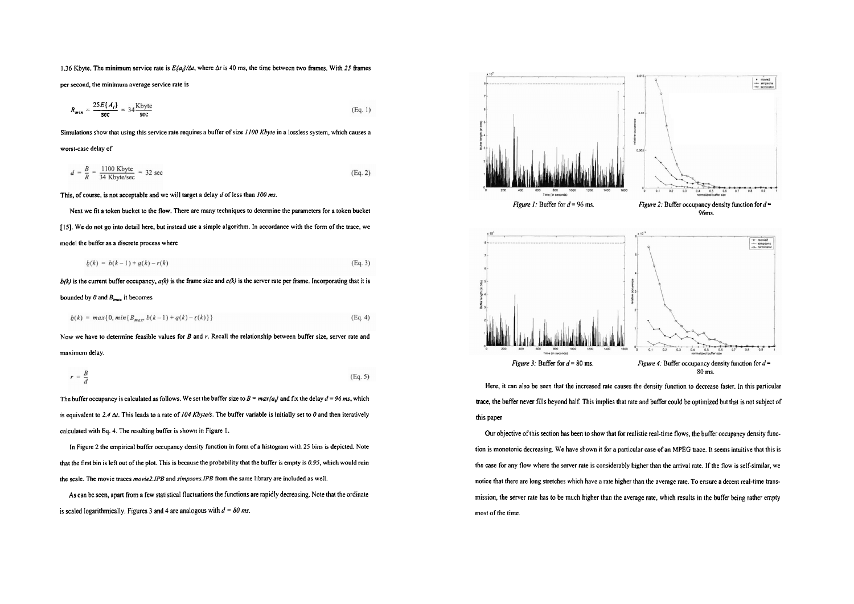1.36 Kbyte. The minimum service rate is *E(aJ/&.* where At is 40 ms, the time behveen hvo frames. With *25* frames

per second, the minimum average service rate is

6 Kbyte. The minimum service rate is 
$$
E\{a_j/\Delta t\}
$$
, where  $\Delta t$  is 40 ms, the time between two frames. With 25 frames  
\nsecond, the minimum average service rate is  
\n
$$
R_{min} = \frac{25E\{A_t\}}{\sec} = 34 \frac{\text{Kbyte}}{\sec}
$$
\n(Eq. 1)

Simulations show that using this service rate requires a buffer of size *1/00* **Kbyre** in a lossless System, which causes a

worst-case delay of

$$
d = \frac{B}{R} = \frac{1100 \text{ Kbyte}}{34 \text{ Kbyte/sec}} = 32 \text{ sec}
$$
 (Eq. 2)

This, of course, is not acceptable and we will target a delay d of less than 100 ms.

Next we fit a token bucket to the flow. There are many techniques to determine the parameters for a token bucket 1151. We do not go into detail here, but instead use a simple algorithm. In accordance with the form of the trace. we model the buffer as a discrete process where

$$
b(k) = b(k-1) + a(k) - r(k)
$$
 (Eq. 3)

 $b(k)$  is the current buffer occupancy,  $a(k)$  is the frame size and  $c(k)$  is the server rate per frame. Incorporating that it is

bounded by  $\theta$  and  $B_{max}$  it becomes

$$
b(k) = max\{0, min\{B_{max}, b(k-1) + q(k) - r(k)\}\}
$$
 (Eq. 4)

Now we have to determine feasible values for  $B$  and  $r$ . Recall the relationship between buffer size, server rate and maximum delay.

$$
r = \frac{B}{d}
$$
 (Eq. 5)

The buffer occupancy is calculated as follows. We set the buffer size to  $B = max{a_{ij}}$  and fix the delay  $d = 96$  ms, which is equivalent to 2.4  $\Delta t$ . This leads to a rate of 104 *Kbyte/s*. The buffer variable is initially set to 0 and then iteratively calculated with Eq. 4. The resulting buffer is shown in Figure I.

In Figure *2* the empirical buffer occupancy density function in form of a histogram with 25 bins is depicted. Note that the fint bin is lefl out of the plot. This is because the probability that the buffer is empty is *0.95.* which would ruin the scale. The movie traces *movie2.1PB* and *simpsons.lPB* from the Same library are included as well.

As can be seen, apart from a few statistical fluctuations the functions are rapidly decreasing. Note that the ordinate is scaled logarithmically. Figures 3 and 4 are analogous with  $d = 80$  ms.



Here, it can also be seen that the increased rate causes the density function to decrease faster. In this particular trace, the buffer never fills beyond half. This implies that rate and buffer could be optimized but that is not subject of this paper

Our objective of this section has been to show that for realistic real-time flows. the buffer occupancy density function is monotonic decreasing. We have shown it for a panicular case of an MPEG trace. It seems intuitive that this is the case for any flow where the server rate is considerably higher than the arrival rate. If the flow is self-similar, we notice that there are long stretches which have a rate higher than the average rate. To ensure a decent real-time transmission, the server rate has to be much higher than the average rate. which results in the buffer being rather emply most of the time.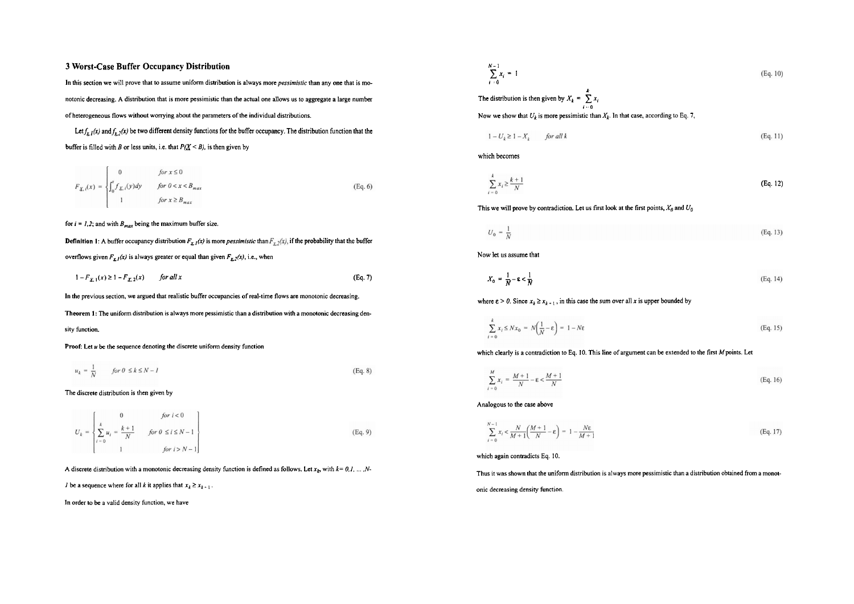# **3 Worst-Case Buffer Occupancy Distribution**

In this section we will prove that to assume uniform distribution is always more *pessimistic* than any one that is monotonic decreasing. **A** distribution that is more pessimistic than the actual one allows us to aggregate a large number of heterogeneous flows without worrying about the parameters of the individual distributions.

Let  $f_{x,t}(x)$  and  $f_{x,t}(x)$  be two different density functions for the buffer occupancy. The distribution function that the buffer is filled with B or less units, i.e. that  $P(X \le B)$ , is then given by

$$
F_{\underline{X},i}(x) = \begin{cases} 0 & \text{for } x \le 0\\ \int_0^x f_{\underline{X},i}(y)dy & \text{for } 0 < x < B_{max} \\ 1 & \text{for } x \ge B_{max} \end{cases} \tag{Eq. 6}
$$

#### for  $i = 1, 2$ ; and with  $B_{max}$  being the maximum buffer size.

**Definition 1:** A buffer occupancy distribution  $F_{x,1}(x)$  is more *pessimistic* than  $F_{x,2}(x)$ , if the probability that the buffer overflows given  $F_{\frac{1}{2}}(x)$  is always greater or equal than given  $F_{\frac{1}{2}}(x)$ , i.e., when

$$
1 - F_{\chi, 1}(x) \ge 1 - F_{\chi, 2}(x) \qquad \text{for all } x \tag{Eq. 7}
$$

In the previous section, we argued that realistic buffer occupancies of real-time flows are monotonic decreasing.

Theorem 1: The uniform distribution is always more pessimistic than a distribution with a monotonic decreasing density function.

$$
u_k = \frac{1}{N} \qquad \text{for } 0 \le k \le N - 1 \tag{Eq. 8}
$$

#### The discrete distribution is then given by

$$
U_k = \begin{cases} 0 & \text{for } i < 0 \\ \sum_{i=0}^{k} u_i = \frac{k+1}{N} & \text{for } 0 \le i \le N-1 \\ 1 & \text{for } i > N-1 \end{cases}
$$
 (Eq. 9)

A discrete distribution with a monotonic decreasing density function is defined as follows. Let  $x_k$  with  $k = 0, 1, \dots, N-$ 

I be a sequence where for all k it applies that  $x_k \ge x_{k+1}$ .

In order to be a valid density function, we have

$$
\sum_{i=0}^{N-1} x_i = 1
$$
\nThe distribution is then given by  $X_k = \sum_{i=0}^{k} x_i$   
\nNow we show that  $U_k$  is more pessimistic than  $X_k$ . In that case, according to Eq. 7,

$$
1 - U_k \ge 1 - X_k \qquad \text{for all } k \tag{Eq. 11}
$$

which becomes

$$
\sum_{i=0}^{k} x_i \ge \frac{k+1}{N} \tag{Eq. 12}
$$

This we will prove by contradiction. Let us first look at the first points,  $X_0$  and  $U_0$ 

$$
U_0 = \frac{1}{N} \tag{Eq. 13}
$$

$$
X_0 = \frac{1}{N} - \varepsilon < \frac{1}{N} \tag{Eq. 14}
$$

where  $\epsilon > 0$ . Since  $x_k \ge x_{k+1}$ , in this case the sum over all x is upper bounded by

$$
\sum_{k=0}^{k} x_{i} \leq N x_{0} = N \left( \frac{1}{N} - \varepsilon \right) = 1 - N \varepsilon
$$
\n(Eq. 15)

Proof: Let *u* be the sequence denoting the discrete uniform density function which clearly is a contradiction to Eq. 10. This line of argument can be extended to the first *M* points. Let

$$
\frac{M}{N}x_i = \frac{M+1}{N} - \varepsilon < \frac{M+1}{N} \tag{Eq. 16}
$$

Analogous to the case above

$$
\sum_{\ell=0}^{N-1} x_{\ell} < \frac{N}{M+1} \left( \frac{M+1}{N} - \varepsilon \right) = 1 - \frac{N\varepsilon}{M+1} \tag{Eq. 17}
$$

which again contradicts Eq. 10.

Thus it was shown that the uniform distribution is always more pessimistic than a distribution obtained from a monotonic decreasing density function.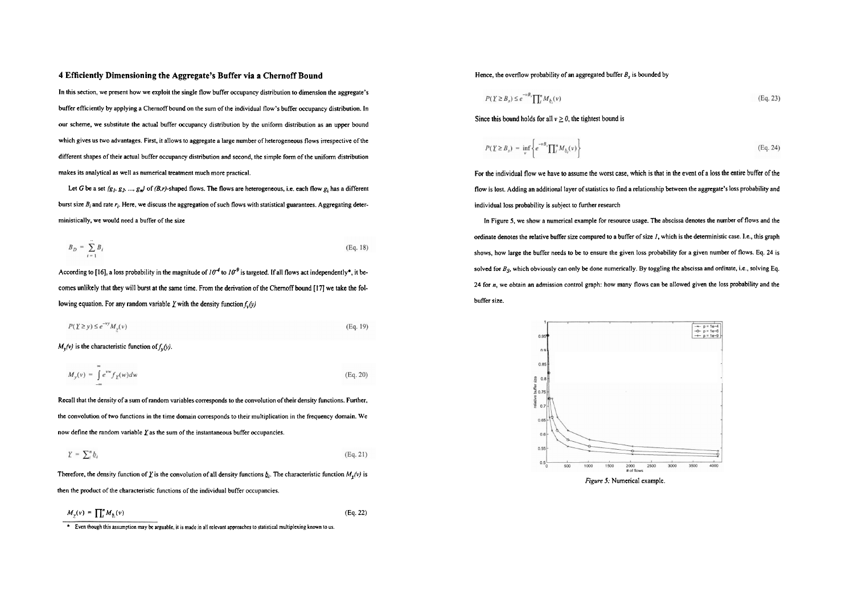#### **4 Efficiently Dimensioning the Aggregate's Buffer via a Chernoff Bound**

In this section, we present how we exploit the single flow buffer occupancy distribution to dimension the aggregate's buffer efficiently by applying a Chemoff bound on the sum of the individual flow's buffer occupancy distribution. In our scheme, we substitute the actual buffer occupancy distribution by the uniform distribution as an upper bound which gives us two advantages. First, it allows to aggregate a large number of heterogeneous flows irrespective of the different shapes of their actual buffer occupancy distribution and second, the simple form of the uniform dismbution makes its analytical as well as numerical treatment much more practical.

Let G be a set  $(g_1, g_2, ..., g_n)$  of (B,r)-shaped flows. The flows are heterogeneous, i.e. each flow  $g_i$  has a different burst size  $B_i$  and rate  $r_i$ . Here, we discuss the aggregation of such flows with statistical guarantees. Aggregating deterministically, we would need a buffer of the size

$$
B_D = \sum_{i=1}^{n} B_i \tag{Eq. 18}
$$

According to [16], a loss probability in the magnitude of  $10^{-4}$  to  $10^{-9}$  is targeted. If all flows act independently\*, it becomes unlikely that they will burst at the same time. From the derivation of the Chernoff bound [17] we take the following equation. For any random variable  $\chi$  with the density function  $f_{\nu}(\gamma)$ 

$$
P(\underline{Y} \ge y) \le e^{-\nu y} M_y(\nu) \tag{Eq. 19}
$$

 $M_v(v)$  is the characteristic function of  $f_v(v)$ .

$$
M_{y}(v) = \int_{0}^{\infty} e^{vw} f_{\underline{y}}(w) dw \tag{Eq. 20}
$$

Recall that the density of a sum of random variables corresponds to the convolution of their density functions. Further. the convolution of two functions in the time domain corresponds to their multiplication in the frequency domain. We now define the random variable **Yas** the sum of the insiantaneous buffer occupancies.

$$
Y = \sum_{i}^{n} b_i \tag{Eq. 21}
$$

Therefore, the density function of *Y* is the convolution of all density functions  $b<sub>i</sub>$ . The characteristic function  $M<sub>v</sub>(v)$  is then the product of he characteristic functions of the individual buffer occupancies.

$$
M_{\chi}(v) = \prod_{i}^{n} M_{b_i}(v) \tag{Eq. 22}
$$

**Even though this assumption may be arguable, it is made in all relevant approaches to statistical multiplexing known to us.** 

### Hence, the overflow probability of an aggregated buffer  $B<sub>s</sub>$  is bounded by

$$
P(Y \geq B_s) \leq e^{-\nu B_s} \prod_{i=1}^n M_{b_i}(v) \tag{Eq. 23}
$$

Since this bound holds for all  $v \ge 0$ , the tightest bound is

$$
P(Y \ge B_s) = \inf_{v} \left\{ e^{-vB_v} \prod_i^s M_{b_i}(v) \right\} \tag{Eq. 24}
$$

For the individual flow we have to assume the wont case. which is that in the event of a loss the entire buffer of the fiow is lost. Adding an additional layer of statistics to find a relationship between the aggregate's loss probability and individual loss probability is subject **to** further research

In Figure **5.** we show a numerical example for resource usage. The abscissa denotes the number of fiows and the ordinate denotes the relative buffer size compared to a buffer of size I, which is the detenninistic case. 1.e.. this graph shows. how large the buffer needs to bc to ensure the given loss probability for a given number of fiows. Eq. **24** is solved for  $B_{\rm x}$ , which obviously can only be done numerically. By toggling the abscissa and ordinate, i.e., solving Eq. **24** for **n,** we obtain an admission control graph: how many fiows can be allowed given the loss probability and the buffer size.

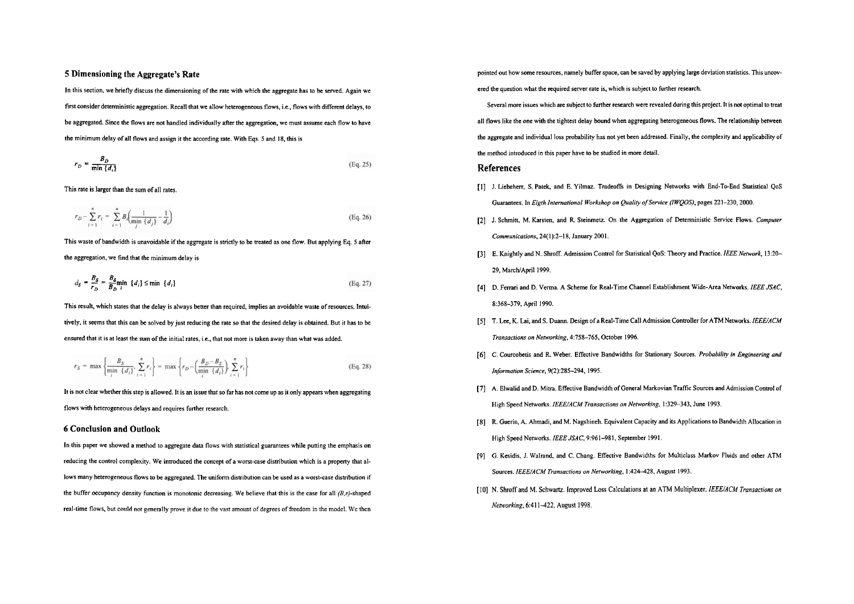# **5 Dimensioning the Aggregate's Rate**

In this section, we briefly discuss the dimensioning of the rate with which the aggregate has to be served. Again we first consider deterministic aggregation. Recall that we allow heterogeneous flows, i.e., flows with different delays, to be aggregated. Since the flows are not handled individually afier the aggregation. we must assume each flow to have the minimum delay of all flows and assign it the according rate. With Eqs. 5 and 18, this is

$$
r_D = \frac{B_D}{\min\{d_i\}}\tag{Eq. 25}
$$

This rate is larger than the sum of all rates.

$$
r_D - \sum_{i=1}^{n} r_i = \sum_{i=1}^{n} B_i \left( \frac{1}{\min_i \{d_j\}} - \frac{1}{d_i} \right)
$$
 (Eq. 26)

This waste of bandwidth is unavoidable if the aggregate is strictly **to** be treated as one flow. But applying Eq. 5 atier the aggregation, we find that the minimum delay is

$$
d_{S} = \frac{B_{S}}{r_{D}} = \frac{B_{S}}{B_{D}} \min_{i} \{d_{i}\} \le \min \{d_{i}\}
$$
 (Eq. 27)

This result, which states that the delay is always better than required, implies an avoidable waste of resources. Intuitively. it seems that this can be solved by just reducing the rate so that the desired delay is obtained. But it has 10 **be**  ensured that it is at least the sum of the initial rates, i.e., that not more is taken away than what was added.

$$
r_S = \max\left\{\frac{B_S}{\min\left\{d_i\right\}}, \sum_{i=1}^n r_i\right\} = \max\left\{r_D - \left(\frac{B_D - B_S}{\min\left\{d_i\right\}}\right), \sum_{i=1}^n r_i\right\}
$$
(Eq. 28)

It is not clear whether this step is allowed. It is an issue that so far has not come up as it only appears when aggregating flows with heterogeneous delays and requires funher research.

### **6 Conclusion and Outlook**

In this paper we showed a method to aggregate data flows with statistical guarantees while putting the emphasis on reducing the wntrol complexity. We introduced the concept of a wont-case distribution which is a property that allows many heterogeneous flows tobe aggregated. The uniform distribution can **be** used as a worst-case distribution if the buffer occupancy density function is monotonic decreasing. We believe that this is the case for all  $(B,r)$ -shaped real-time flows, but could not generally prove it due to the vast amount of degrees of freedom in the model. We then

pointed out how some resources. namely buffer space, can be saved by applying large deviation statistics. This uncovered the question what the required server rate is, which is subject **io** further research.

Several more issues which are subject to further research were revealed during this project. **It** is not optimal to treat all flows like the one with the tightest delay bound when aggregating heterogeneous flows. The relationship between the aggregate and individual loss probability has not yet been addressed. Finally, the complexity and applicability of the method introduced in this paper have to be studied in more detail.

# **References**

- [I] J. Liebeherr, S. Patek, and E. Yilmaz. Tradeoffs in Designing Networks with End-To-End Statistical QoS Guarantees. In *Eigth International Workshop on Quality of Service (IWQOS)*, pages 221-230, 2000.
- [2] J. Schmin, M. Karsten, and R Steinmetz On the Aggregation of Detenninistic Service Flows. *Computer Communications,* 24(1):2-I 8, January 2001.
- [3] E. Knightly and N. Shroff. Admission Control for Statistical QoS: Theory and Practice. *IEEE Nenuork,* 13:20- 29, March/April 1999.
- [4] D. Ferrari and D. Verma. A Scheme for Real-Time Channel Establishment Wide-Area Networks. *IEEE JSAC*, 8:368-379, April 1990.
- [S] T. Lee, K. Lai, and S. Duann. Design of a Real-Time Call Admission Controller for ATM Networks. *IEEE/ACM Transactions on Nenuorking.* 4:758-765, October 1996.
- [6] C. Courcobetis and R. Weber. Effective Bandwidths for Stationary Sources. *Probabilify in Engineering and Information Science,* 9(2):285-294,1995.
- [7] A. Elwalid and D. Mitra. Effective Bandwidth of General Markovian Traffic Sources and Admission Control of High Speed Networks. *IEEE/ACM Transactions on Networking*, 1:329-343, June 1993.
- [8] R. Guerin, A. Ahmadi, and M. Nagshineh. Equivalent Capacity and its Applications to Bandwidth Allocation in High Speed Networks. *IEEE JSAC.* 9:96l-981, September 1991.
- [9] G. Kesidis. J. Walrand, and C. Chang. Effenive Bandwidths for Multiclass Markov Fluids and other ATM Sources. *IEEE/ACM Transactions on Networking*, 1:424-428, August 1993.
- [I01 N. Shroff and M. Schwanz. lmproved Loss Calculations at an ATM Multiplexer. *IEEEIACM Transacrions on Nenvorking.* 6:411-422. August 1998.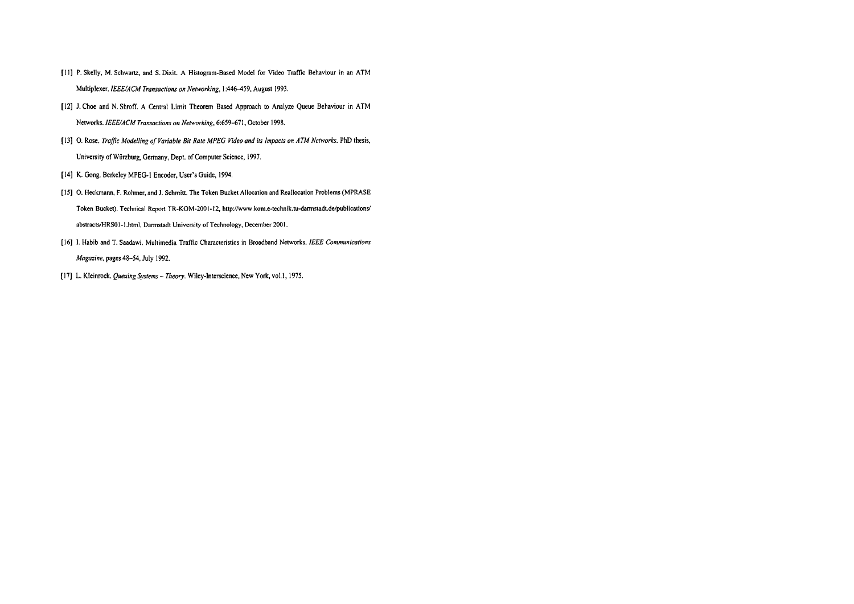- [11] P. Skelly, M. Schwartz, and S. Dixit. A Histogram-Based Model for Video Traffic Behaviour in an ATM Multiplexer. IEEE/ACM Transactions on Networking, 1:446-459, August 1993.
- [I21 J. Choe and N. Shroff. A Central Limit Theorem Based Approach to Analyze Queue Behaviour in ATM Networks. IEEE/ACM Transactions on Networking, 6:659-671, October 1998.
- [I31 0. Rose. Trafic ModeIIing **of** Variable Bir Rare MPEG Video und its Impacts on ATM Networks. PhD thesis, Univenity of Würzburg, Gennany, Dept. of Computer Science, 1997.
- [I41 K. Gong. Berkeley MPEG-I Encoder, User's Guide, 1994.
- [15] O. Heckmann, F. Rohmer, and J. Schmitt. The Token Bucket Allocation and Reallocation Problems (MPRASE Token Bucket). Technical Report TR-KOM-2001-12, http://www.kom.e-technik.tu-darmstadt.de/publications/ abstracts/HRS01-1.html, Darmstadt University of Technology, December 2001.
- [16] I. Habib and T. Saadawi. Multimedia Traffic Characteristics in Broadband Networks. IEEE Communications Magazine, pages 48-54, July 1992.
- [17] L. Kleinrock. Queuing Systems Theory. Wiley-Interscience, New York, vol.1, 1975.